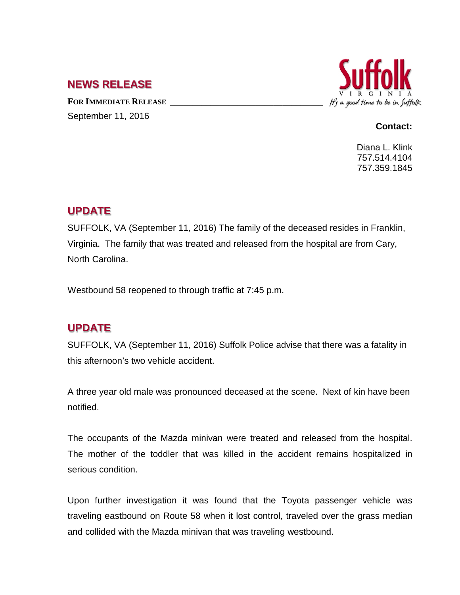## **NEWS RELEASE**

FOR **IMMEDIATE RELEASE** September 11, 2016



#### **Contact:**

Diana L. Klink 757.514.4104 757.359.1845

### **UPDATE**

SUFFOLK, VA (September 11, 2016) The family of the deceased resides in Franklin, Virginia. The family that was treated and released from the hospital are from Cary, North Carolina.

Westbound 58 reopened to through traffic at 7:45 p.m.

# **UPDATE**

SUFFOLK, VA (September 11, 2016) Suffolk Police advise that there was a fatality in this afternoon's two vehicle accident.

A three year old male was pronounced deceased at the scene. Next of kin have been notified.

The occupants of the Mazda minivan were treated and released from the hospital. The mother of the toddler that was killed in the accident remains hospitalized in serious condition.

Upon further investigation it was found that the Toyota passenger vehicle was traveling eastbound on Route 58 when it lost control, traveled over the grass median and collided with the Mazda minivan that was traveling westbound.